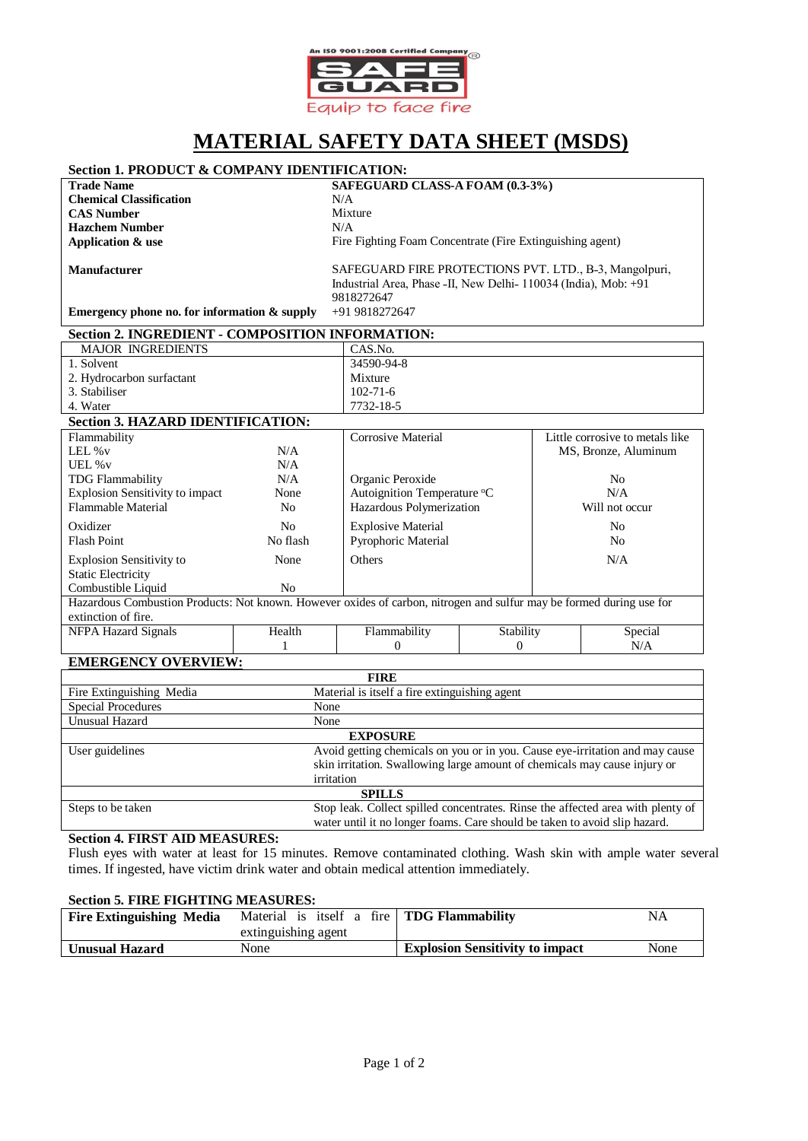

# **MATERIAL SAFETY DATA SHEET (MSDS)**

## **Section 1. PRODUCT & COMPANY IDENTIFICATION:**

**Chemical Classification** N/A<br> **CAS Number** Mixture **CAS Number** Mix<br> **Hazchem Number** M/A **Hazchem Number Application & use**

**Trade Name SAFEGUARD CLASS-A FOAM (0.3-3%)** 

Fire Fighting Foam Concentrate (Fire Extinguishing agent)

**Manufacturer**

SAFEGUARD FIRE PROTECTIONS PVT. LTD., B-3, Mangolpuri, Industrial Area, Phase -II, New Delhi- 110034 (India), Mob: +91 9818272647

**Emergency phone no. for information & supply** +91 9818272647

| Section 2. INGREDIENT - COMPOSITION INFORMATION: |                    |                                 |  |
|--------------------------------------------------|--------------------|---------------------------------|--|
| <b>MAJOR INGREDIENTS</b>                         | CAS.No.            |                                 |  |
| 1. Solvent                                       | 34590-94-8         |                                 |  |
| 2. Hydrocarbon surfactant                        | Mixture            |                                 |  |
| 3. Stabiliser                                    | $102 - 71 - 6$     |                                 |  |
| 4. Water                                         | 7732-18-5          |                                 |  |
| <b>Section 3. HAZARD IDENTIFICATION:</b>         |                    |                                 |  |
| Flammability                                     | Corrosive Material | Little corrosive to metals like |  |

| т тапшпаршту                                                                                                         |          | CULLUSIVE IVIAUTHAI         |           | LILLIC COLLOSIVE IO HICLAIS HAC |  |
|----------------------------------------------------------------------------------------------------------------------|----------|-----------------------------|-----------|---------------------------------|--|
| LEL $\%$ v                                                                                                           | N/A      |                             |           | MS, Bronze, Aluminum            |  |
| UEL % v                                                                                                              | N/A      |                             |           |                                 |  |
| <b>TDG Flammability</b>                                                                                              | N/A      | Organic Peroxide<br>No.     |           |                                 |  |
| <b>Explosion Sensitivity to impact</b>                                                                               | None     | Autoignition Temperature °C |           | N/A                             |  |
| Flammable Material                                                                                                   | No.      | Hazardous Polymerization    |           | Will not occur                  |  |
| Oxidizer                                                                                                             | No.      | <b>Explosive Material</b>   |           | No                              |  |
| <b>Flash Point</b>                                                                                                   | No flash | <b>Pyrophoric Material</b>  |           | No                              |  |
| <b>Explosion Sensitivity to</b>                                                                                      | None     | <b>Others</b>               |           | N/A                             |  |
| <b>Static Electricity</b>                                                                                            |          |                             |           |                                 |  |
| Combustible Liquid                                                                                                   | No.      |                             |           |                                 |  |
| Hazardous Combustion Products: Not known. However oxides of carbon, nitrogen and sulfur may be formed during use for |          |                             |           |                                 |  |
| extinction of fire.                                                                                                  |          |                             |           |                                 |  |
| <b>NFPA Hazard Signals</b>                                                                                           | Health   | Flammability                | Stability | Special                         |  |
|                                                                                                                      |          |                             | $\theta$  | N/A                             |  |

# **EMERGENCY OVERVIEW:**

| <b>FIRE</b>               |                                                                                 |  |
|---------------------------|---------------------------------------------------------------------------------|--|
| Fire Extinguishing Media  | Material is itself a fire extinguishing agent                                   |  |
| <b>Special Procedures</b> | None                                                                            |  |
| Unusual Hazard            | None                                                                            |  |
| <b>EXPOSURE</b>           |                                                                                 |  |
| User guidelines           | Avoid getting chemicals on you or in you. Cause eye-irritation and may cause    |  |
|                           | skin irritation. Swallowing large amount of chemicals may cause injury or       |  |
|                           | irritation                                                                      |  |
| <b>SPILLS</b>             |                                                                                 |  |
| Steps to be taken         | Stop leak. Collect spilled concentrates. Rinse the affected area with plenty of |  |
|                           | water until it no longer foams. Care should be taken to avoid slip hazard.      |  |

#### **Section 4. FIRST AID MEASURES:**

Flush eyes with water at least for 15 minutes. Remove contaminated clothing. Wash skin with ample water several times. If ingested, have victim drink water and obtain medical attention immediately.

#### **Section 5. FIRE FIGHTING MEASURES:**

| <b>Fire Extinguishing Media</b> | Material is itself a fire   <b>TDG Flammability</b> |                                        | NA   |
|---------------------------------|-----------------------------------------------------|----------------------------------------|------|
|                                 | extinguishing agent                                 |                                        |      |
| <b>Unusual Hazard</b>           | None                                                | <b>Explosion Sensitivity to impact</b> | None |